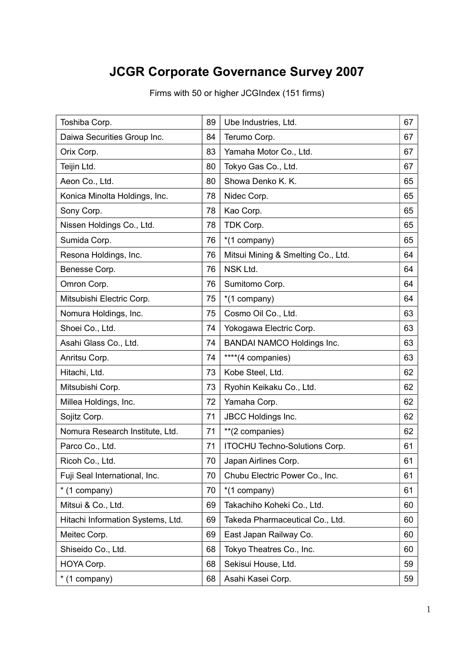## JCGR Corporate Governance Survey 2007

| Toshiba Corp.                     | 89 | Ube Industries, Ltd.                 | 67 |
|-----------------------------------|----|--------------------------------------|----|
| Daiwa Securities Group Inc.       | 84 | Terumo Corp.                         | 67 |
| Orix Corp.                        | 83 | Yamaha Motor Co., Ltd.               | 67 |
| Teijin Ltd.                       | 80 | Tokyo Gas Co., Ltd.                  | 67 |
| Aeon Co., Ltd.                    | 80 | Showa Denko K. K.                    | 65 |
| Konica Minolta Holdings, Inc.     | 78 | Nidec Corp.                          | 65 |
| Sony Corp.                        | 78 | Kao Corp.                            | 65 |
| Nissen Holdings Co., Ltd.         | 78 | TDK Corp.                            | 65 |
| Sumida Corp.                      | 76 | *(1 company)                         | 65 |
| Resona Holdings, Inc.             | 76 | Mitsui Mining & Smelting Co., Ltd.   | 64 |
| Benesse Corp.                     | 76 | NSK Ltd.                             | 64 |
| Omron Corp.                       | 76 | Sumitomo Corp.                       | 64 |
| Mitsubishi Electric Corp.         | 75 | *(1 company)                         | 64 |
| Nomura Holdings, Inc.             | 75 | Cosmo Oil Co., Ltd.                  | 63 |
| Shoei Co., Ltd.                   | 74 | Yokogawa Electric Corp.              | 63 |
| Asahi Glass Co., Ltd.             | 74 | <b>BANDAI NAMCO Holdings Inc.</b>    | 63 |
| Anritsu Corp.                     | 74 | ****(4 companies)                    | 63 |
| Hitachi, Ltd.                     | 73 | Kobe Steel, Ltd.                     | 62 |
| Mitsubishi Corp.                  | 73 | Ryohin Keikaku Co., Ltd.             | 62 |
| Millea Holdings, Inc.             | 72 | Yamaha Corp.                         | 62 |
| Sojitz Corp.                      | 71 | JBCC Holdings Inc.                   | 62 |
| Nomura Research Institute, Ltd.   | 71 | **(2 companies)                      | 62 |
| Parco Co., Ltd.                   | 71 | <b>ITOCHU Techno-Solutions Corp.</b> | 61 |
| Ricoh Co., Ltd.                   | 70 | Japan Airlines Corp.                 | 61 |
| Fuji Seal International, Inc.     | 70 | Chubu Electric Power Co., Inc.       | 61 |
| * (1 company)                     | 70 | *(1 company)                         | 61 |
| Mitsui & Co., Ltd.                | 69 | Takachiho Koheki Co., Ltd.           | 60 |
| Hitachi Information Systems, Ltd. | 69 | Takeda Pharmaceutical Co., Ltd.      | 60 |
| Meitec Corp.                      | 69 | East Japan Railway Co.               | 60 |
| Shiseido Co., Ltd.                | 68 | Tokyo Theatres Co., Inc.             | 60 |
| HOYA Corp.                        | 68 | Sekisui House, Ltd.                  | 59 |
| * (1 company)                     | 68 | Asahi Kasei Corp.                    | 59 |

Firms with 50 or higher JCGIndex (151 firms)